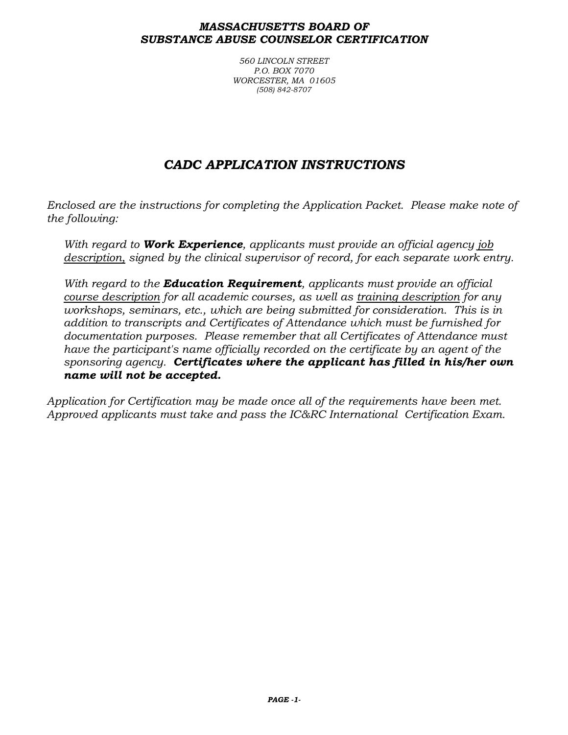#### *MASSACHUSETTS BOARD OF SUBSTANCE ABUSE COUNSELOR CERTIFICATION*

*560 LINCOLN STREET P.O. BOX 7070 WORCESTER, MA 01605 (508) 842-8707*

# *CADC APPLICATION INSTRUCTIONS*

*Enclosed are the instructions for completing the Application Packet. Please make note of the following:*

*With regard to Work Experience, applicants must provide an official agency job description, signed by the clinical supervisor of record, for each separate work entry.*

*With regard to the Education Requirement, applicants must provide an official course description for all academic courses, as well as training description for any workshops, seminars, etc., which are being submitted for consideration. This is in addition to transcripts and Certificates of Attendance which must be furnished for documentation purposes. Please remember that all Certificates of Attendance must have the participant's name officially recorded on the certificate by an agent of the sponsoring agency. Certificates where the applicant has filled in his/her own name will not be accepted.*

*Application for Certification may be made once all of the requirements have been met. Approved applicants must take and pass the IC&RC International Certification Exam.*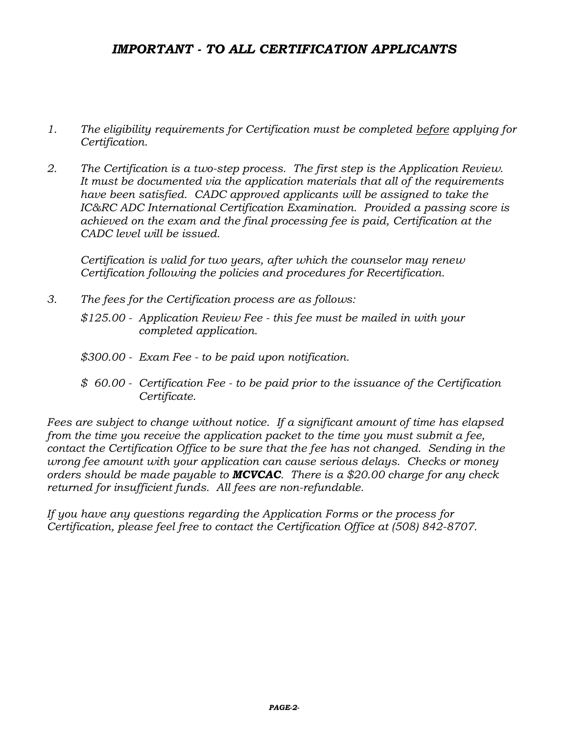## *IMPORTANT - TO ALL CERTIFICATION APPLICANTS*

- *1. The eligibility requirements for Certification must be completed before applying for Certification.*
- *2. The Certification is a two-step process. The first step is the Application Review. It must be documented via the application materials that all of the requirements have been satisfied. CADC approved applicants will be assigned to take the IC&RC ADC International Certification Examination. Provided a passing score is achieved on the exam and the final processing fee is paid, Certification at the CADC level will be issued.*

*Certification is valid for two years, after which the counselor may renew Certification following the policies and procedures for Recertification.*

- *3. The fees for the Certification process are as follows: \$125.00 - Application Review Fee - this fee must be mailed in with your completed application.*
	- *\$300.00 - Exam Fee - to be paid upon notification.*
	- *\$ 60.00 - Certification Fee - to be paid prior to the issuance of the Certification Certificate.*

*Fees are subject to change without notice. If a significant amount of time has elapsed from the time you receive the application packet to the time you must submit a fee,*  contact the Certification Office to be sure that the fee has not changed. Sending in the *wrong fee amount with your application can cause serious delays. Checks or money orders should be made payable to MCVCAC. There is a \$20.00 charge for any check returned for insufficient funds. All fees are non-refundable.*

*If you have any questions regarding the Application Forms or the process for Certification, please feel free to contact the Certification Office at (508) 842-8707.*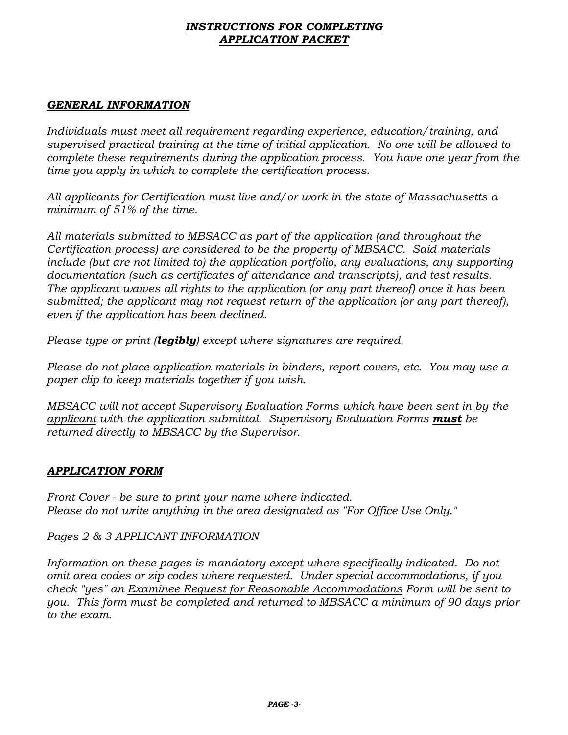#### *INSTRUCTIONS FOR COMPLETING APPLICATION PACKET*

## *GENERAL INFORMATION*

*Individuals must meet all requirement regarding experience, education/training, and supervised practical training at the time of initial application. No one will be allowed to complete these requirements during the application process. You have one year from the time you apply in which to complete the certification process.*

*All applicants for Certification must live and/or work in the state of Massachusetts a minimum of 51% of the time.*

*All materials submitted to MBSACC as part of the application (and throughout the Certification process) are considered to be the property of MBSACC. Said materials include (but are not limited to) the application portfolio, any evaluations, any supporting documentation (such as certificates of attendance and transcripts), and test results. The applicant waives all rights to the application (or any part thereof) once it has been submitted; the applicant may not request return of the application (or any part thereof), even if the application has been declined.*

*Please type or print (legibly) except where signatures are required.*

*Please do not place application materials in binders, report covers, etc. You may use a paper clip to keep materials together if you wish.*

*MBSACC will not accept Supervisory Evaluation Forms which have been sent in by the applicant with the application submittal. Supervisory Evaluation Forms must be returned directly to MBSACC by the Supervisor.*

## *APPLICATION FORM*

*Front Cover - be sure to print your name where indicated. Please do not write anything in the area designated as "For Office Use Only."*

*Pages 2 & 3 APPLICANT INFORMATION*

*Information on these pages is mandatory except where specifically indicated. Do not omit area codes or zip codes where requested. Under special accommodations, if you check "yes" an Examinee Request for Reasonable Accommodations Form will be sent to you. This form must be completed and returned to MBSACC a minimum of 90 days prior to the exam.*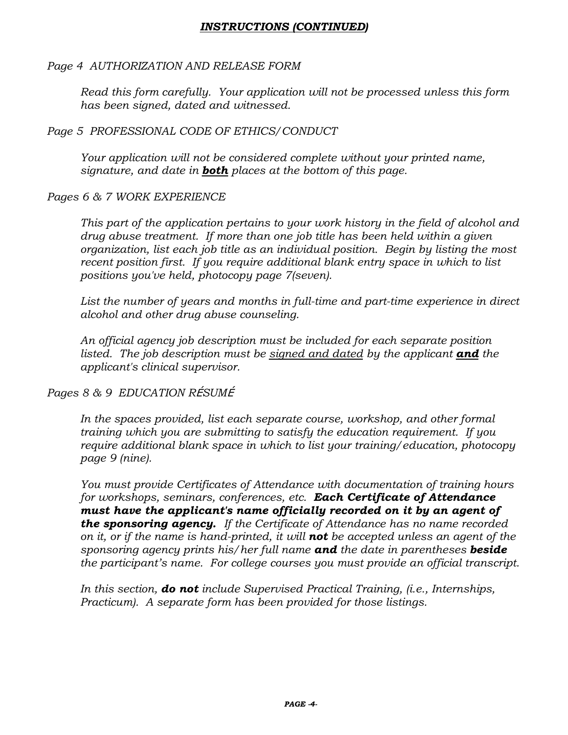## *INSTRUCTIONS (CONTINUED)*

## *Page 4 AUTHORIZATION AND RELEASE FORM*

*Read this form carefully. Your application will not be processed unless this form has been signed, dated and witnessed.*

## *Page 5 PROFESSIONAL CODE OF ETHICS/CONDUCT*

*Your application will not be considered complete without your printed name, signature, and date in both places at the bottom of this page.*

## *Pages 6 & 7 WORK EXPERIENCE*

*This part of the application pertains to your work history in the field of alcohol and drug abuse treatment. If more than one job title has been held within a given organization, list each job title as an individual position. Begin by listing the most recent position first. If you require additional blank entry space in which to list positions you've held, photocopy page 7(seven).*

List the number of years and months in full-time and part-time experience in direct *alcohol and other drug abuse counseling.*

*An official agency job description must be included for each separate position listed. The job description must be signed and dated by the applicant and the applicant's clinical supervisor.*

## *Pages 8 & 9 EDUCATION R*É*SUM*É

In the spaces provided, list each separate course, workshop, and other formal *training which you are submitting to satisfy the education requirement. If you require additional blank space in which to list your training/education, photocopy page 9 (nine).*

*You must provide Certificates of Attendance with documentation of training hours for workshops, seminars, conferences, etc. Each Certificate of Attendance must have the applicant's name officially recorded on it by an agent of the sponsoring agency. If the Certificate of Attendance has no name recorded on it, or if the name is hand-printed, it will not be accepted unless an agent of the sponsoring agency prints his/her full name and the date in parentheses beside the participant's name. For college courses you must provide an official transcript.*

*In this section, do not include Supervised Practical Training, (i.e., Internships, Practicum). A separate form has been provided for those listings.*